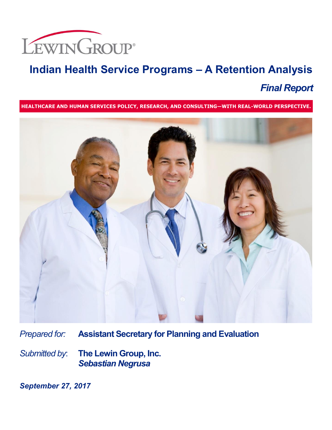

# **Indian Health Service Programs – A Retention Analysis** *Final Report*

**HEALTHCARE AND HUMAN SERVICES POLICY, RESEARCH, AND CONSULTING―WITH REAL-WORLD PERSPECTIVE.**



*Prepared for:* **Assistant Secretary for Planning and Evaluation**

*Submitted by*: **The Lewin Group, Inc.** *Sebastian Negrusa*

*September 27, 2017*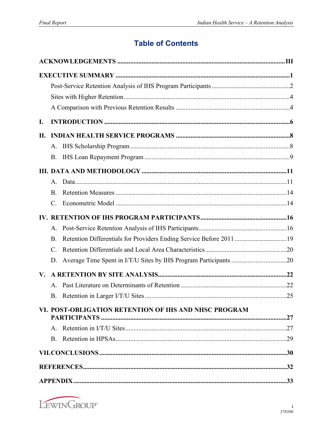## **Table of Contents**

| I.          |                                                                                 |  |
|-------------|---------------------------------------------------------------------------------|--|
| П.          |                                                                                 |  |
|             |                                                                                 |  |
|             | <b>B.</b>                                                                       |  |
|             |                                                                                 |  |
|             |                                                                                 |  |
|             | <b>B.</b>                                                                       |  |
|             | C.                                                                              |  |
|             |                                                                                 |  |
|             | А.                                                                              |  |
|             | Retention Differentials for Providers Ending Service Before 201119<br><b>B.</b> |  |
|             | $\mathcal{C}$ .                                                                 |  |
|             | D.                                                                              |  |
| $V_{\star}$ |                                                                                 |  |
|             | $A_{-}$                                                                         |  |
|             |                                                                                 |  |
|             | VI. POST-OBLIGATION RETENTION OF IHS AND NHSC PROGRAM                           |  |
|             |                                                                                 |  |
|             | B.                                                                              |  |
|             |                                                                                 |  |
|             |                                                                                 |  |
|             |                                                                                 |  |

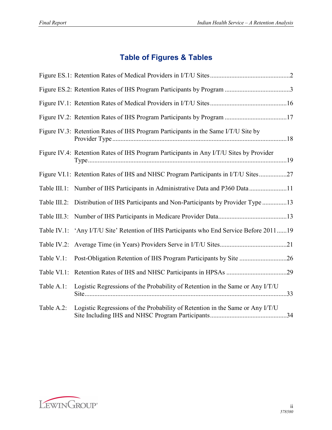# **Table of Figures & Tables**

|            | Figure IV.3: Retention Rates of IHS Program Participants in the Same I/T/U Site by       |  |
|------------|------------------------------------------------------------------------------------------|--|
|            | Figure IV.4: Retention Rates of IHS Program Participants in Any I/T/U Sites by Provider  |  |
|            | Figure VI.1: Retention Rates of IHS and NHSC Program Participants in I/T/U Sites27       |  |
|            | Table III.1: Number of IHS Participants in Administrative Data and P360 Data 11          |  |
|            | Table III.2: Distribution of IHS Participants and Non-Participants by Provider Type 13   |  |
|            |                                                                                          |  |
|            | Table IV.1: 'Any I/T/U Site' Retention of IHS Participants who End Service Before 201119 |  |
|            |                                                                                          |  |
| Table V.1: |                                                                                          |  |
|            |                                                                                          |  |
| Table A.1: | Logistic Regressions of the Probability of Retention in the Same or Any I/T/U            |  |
| Table A.2: | Logistic Regressions of the Probability of Retention in the Same or Any I/T/U            |  |

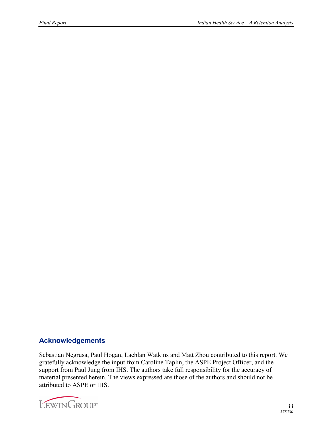#### <span id="page-3-0"></span>**Acknowledgements**

Sebastian Negrusa, Paul Hogan, Lachlan Watkins and Matt Zhou contributed to this report. We gratefully acknowledge the input from Caroline Taplin, the ASPE Project Officer, and the support from Paul Jung from IHS. The authors take full responsibility for the accuracy of material presented herein. The views expressed are those of the authors and should not be attributed to ASPE or IHS.

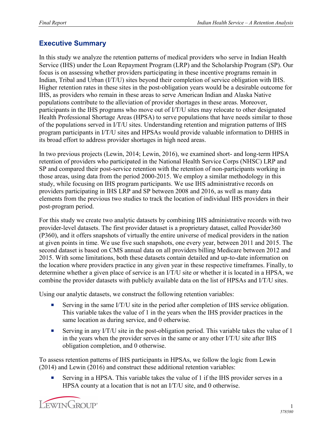#### <span id="page-4-0"></span>**Executive Summary**

In this study we analyze the retention patterns of medical providers who serve in Indian Health Service (IHS) under the Loan Repayment Program (LRP) and the Scholarship Program (SP). Our focus is on assessing whether providers participating in these incentive programs remain in Indian, Tribal and Urban (I/T/U) sites beyond their completion of service obligation with IHS. Higher retention rates in these sites in the post-obligation years would be a desirable outcome for IHS, as providers who remain in these areas to serve American Indian and Alaska Native populations contribute to the alleviation of provider shortages in these areas. Moreover, participants in the IHS programs who move out of I/T/U sites may relocate to other designated Health Professional Shortage Areas (HPSA) to serve populations that have needs similar to those of the populations served in I/T/U sites. Understanding retention and migration patterns of IHS program participants in I/T/U sites and HPSAs would provide valuable information to DHHS in its broad effort to address provider shortages in high need areas.

In two previous projects (Lewin, 2014; Lewin, 2016), we examined short- and long-term HPSA retention of providers who participated in the National Health Service Corps (NHSC) LRP and SP and compared their post-service retention with the retention of non-participants working in those areas, using data from the period 2000-2015. We employ a similar methodology in this study, while focusing on IHS program participants. We use IHS administrative records on providers participating in IHS LRP and SP between 2008 and 2016, as well as many data elements from the previous two studies to track the location of individual IHS providers in their post-program period.

For this study we create two analytic datasets by combining IHS administrative records with two provider-level datasets. The first provider dataset is a proprietary dataset, called Provider360 (P360), and it offers snapshots of virtually the entire universe of medical providers in the nation at given points in time. We use five such snapshots, one every year, between 2011 and 2015. The second dataset is based on CMS annual data on all providers billing Medicare between 2012 and 2015. With some limitations, both these datasets contain detailed and up-to-date information on the location where providers practice in any given year in these respective timeframes. Finally, to determine whether a given place of service is an I/T/U site or whether it is located in a HPSA, we combine the provider datasets with publicly available data on the list of HPSAs and I/T/U sites.

Using our analytic datasets, we construct the following retention variables:

- Serving in the same I/T/U site in the period after completion of IHS service obligation. This variable takes the value of 1 in the years when the IHS provider practices in the same location as during service, and 0 otherwise.
- **Example 1** Serving in any I/T/U site in the post-obligation period. This variable takes the value of 1 in the years when the provider serves in the same or any other I/T/U site after IHS obligation completion, and 0 otherwise.

To assess retention patterns of IHS participants in HPSAs, we follow the logic from Lewin (2014) and Lewin (2016) and construct these additional retention variables:

¡ Serving in a HPSA. This variable takes the value of 1 if the IHS provider serves in a HPSA county at a location that is not an I/T/U site, and 0 otherwise.

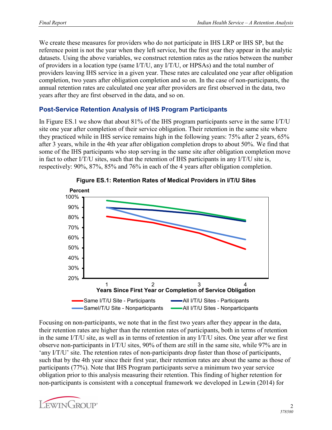We create these measures for providers who do not participate in IHS LRP or IHS SP, but the reference point is not the year when they left service, but the first year they appear in the analytic datasets. Using the above variables, we construct retention rates as the ratios between the number of providers in a location type (same I/T/U, any I/T/U, or HPSAs) and the total number of providers leaving IHS service in a given year. These rates are calculated one year after obligation completion, two years after obligation completion and so on. In the case of non-participants, the annual retention rates are calculated one year after providers are first observed in the data, two years after they are first observed in the data, and so on.

#### <span id="page-5-0"></span>**Post-Service Retention Analysis of IHS Program Participants**

In Figure ES.1 we show that about 81% of the IHS program participants serve in the same I/T/U site one year after completion of their service obligation. Their retention in the same site where they practiced while in IHS service remains high in the following years: 75% after 2 years, 65% after 3 years, while in the 4th year after obligation completion drops to about 50%. We find that some of the IHS participants who stop serving in the same site after obligation completion move in fact to other I/T/U sites, such that the retention of IHS participants in any I/T/U site is, respectively: 90%, 87%, 85% and 76% in each of the 4 years after obligation completion.





Focusing on non-participants, we note that in the first two years after they appear in the data, their retention rates are higher than the retention rates of participants, both in terms of retention in the same I/T/U site, as well as in terms of retention in any I/T/U sites. One year after we first observe non-participants in I/T/U sites, 90% of them are still in the same site, while 97% are in 'any I/T/U' site. The retention rates of non-participants drop faster than those of participants, such that by the 4th year since their first year, their retention rates are about the same as those of participants (77%). Note that IHS Program participants serve a minimum two year service obligation prior to this analysis measuring their retention. This finding of higher retention for non-participants is consistent with a conceptual framework we developed in Lewin (2014) for

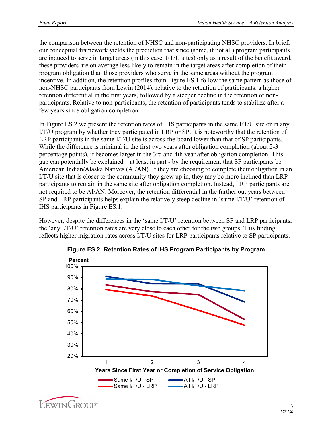the comparison between the retention of NHSC and non-participating NHSC providers. In brief, our conceptual framework yields the prediction that since (some, if not all) program participants are induced to serve in target areas (in this case, I/T/U sites) only as a result of the benefit award, these providers are on average less likely to remain in the target areas after completion of their program obligation than those providers who serve in the same areas without the program incentive. In addition, the retention profiles from Figure ES.1 follow the same pattern as those of non-NHSC participants from Lewin (2014), relative to the retention of participants: a higher retention differential in the first years, followed by a steeper decline in the retention of nonparticipants. Relative to non-participants, the retention of participants tends to stabilize after a few years since obligation completion.

In Figure ES.2 we present the retention rates of IHS participants in the same I/T/U site or in any I/T/U program by whether they participated in LRP or SP. It is noteworthy that the retention of LRP participants in the same I/T/U site is across-the-board lower than that of SP participants. While the difference is minimal in the first two years after obligation completion (about 2-3 percentage points), it becomes larger in the 3rd and 4th year after obligation completion. This gap can potentially be explained – at least in part - by the requirement that SP participants be American Indian/Alaska Natives (AI/AN). If they are choosing to complete their obligation in an I/T/U site that is closer to the community they grew up in, they may be more inclined than LRP participants to remain in the same site after obligation completion. Instead, LRP participants are not required to be AI/AN. Moreover, the retention differential in the further out years between SP and LRP participants helps explain the relatively steep decline in 'same I/T/U' retention of IHS participants in Figure ES.1.

However, despite the differences in the 'same I/T/U' retention between SP and LRP participants, the 'any I/T/U' retention rates are very close to each other for the two groups. This finding reflects higher migration rates across I/T/U sites for LRP participants relative to SP participants.



**Figure ES.2: Retention Rates of IHS Program Participants by Program**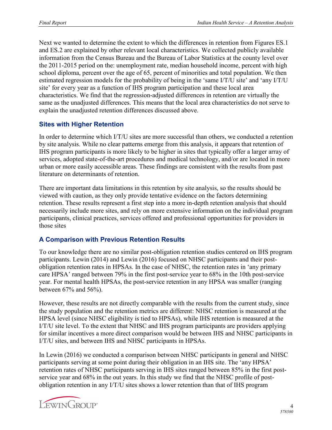Next we wanted to determine the extent to which the differences in retention from Figures ES.1 and ES.2 are explained by other relevant local characteristics. We collected publicly available information from the Census Bureau and the Bureau of Labor Statistics at the county level over the 2011-2015 period on the: unemployment rate, median household income, percent with high school diploma, percent over the age of 65, percent of minorities and total population. We then estimated regression models for the probability of being in the 'same I/T/U site' and 'any I/T/U site' for every year as a function of IHS program participation and these local area characteristics. We find that the regression-adjusted differences in retention are virtually the same as the unadjusted differences. This means that the local area characteristics do not serve to explain the unadjusted retention differences discussed above.

#### <span id="page-7-0"></span>**Sites with Higher Retention**

In order to determine which I/T/U sites are more successful than others, we conducted a retention by site analysis. While no clear patterns emerge from this analysis, it appears that retention of IHS program participants is more likely to be higher in sites that typically offer a larger array of services, adopted state-of-the-art procedures and medical technology, and/or are located in more urban or more easily accessible areas. These findings are consistent with the results from past literature on determinants of retention.

There are important data limitations in this retention by site analysis, so the results should be viewed with caution, as they only provide tentative evidence on the factors determining retention. These results represent a first step into a more in-depth retention analysis that should necessarily include more sites, and rely on more extensive information on the individual program participants, clinical practices, services offered and professional opportunities for providers in those sites

#### <span id="page-7-1"></span>**A Comparison with Previous Retention Results**

To our knowledge there are no similar post-obligation retention studies centered on IHS program participants. Lewin (2014) and Lewin (2016) focused on NHSC participants and their postobligation retention rates in HPSAs. In the case of NHSC, the retention rates in 'any primary care HPSA' ranged between 79% in the first post-service year to 68% in the 10th post-service year. For mental health HPSAs, the post-service retention in any HPSA was smaller (ranging between 67% and 56%).

However, these results are not directly comparable with the results from the current study, since the study population and the retention metrics are different: NHSC retention is measured at the HPSA level (since NHSC eligibility is tied to HPSAs), while IHS retention is measured at the I/T/U site level. To the extent that NHSC and IHS program participants are providers applying for similar incentives a more direct comparison would be between IHS and NHSC participants in I/T/U sites, and between IHS and NHSC participants in HPSAs.

In Lewin (2016) we conducted a comparison between NHSC participants in general and NHSC participants serving at some point during their obligation in an IHS site. The 'any HPSA' retention rates of NHSC participants serving in IHS sites ranged between 85% in the first postservice year and 68% in the out years. In this study we find that the NHSC profile of postobligation retention in any I/T/U sites shows a lower retention than that of IHS program

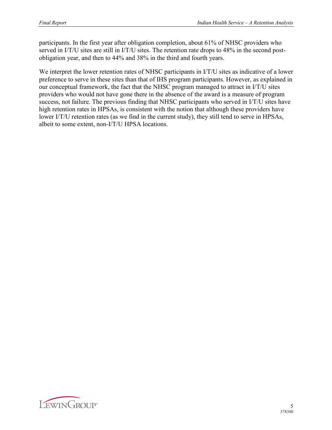participants. In the first year after obligation completion, about 61% of NHSC providers who served in I/T/U sites are still in I/T/U sites. The retention rate drops to 48% in the second postobligation year, and then to 44% and 38% in the third and fourth years.

We interpret the lower retention rates of NHSC participants in I/T/U sites as indicative of a lower preference to serve in these sites than that of IHS program participants. However, as explained in our conceptual framework, the fact that the NHSC program managed to attract in I/T/U sites providers who would not have gone there in the absence of the award is a measure of program success, not failure. The previous finding that NHSC participants who served in I/T/U sites have high retention rates in HPSAs, is consistent with the notion that although these providers have lower I/T/U retention rates (as we find in the current study), they still tend to serve in HPSAs, albeit to some extent, non-I/T/U HPSA locations.

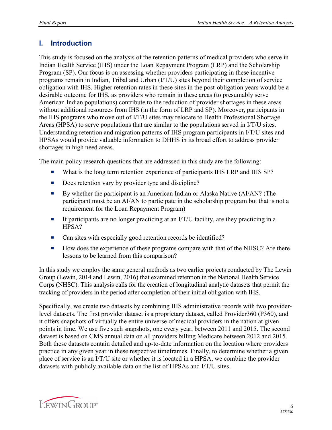#### <span id="page-9-0"></span>**I. Introduction**

This study is focused on the analysis of the retention patterns of medical providers who serve in Indian Health Service (IHS) under the Loan Repayment Program (LRP) and the Scholarship Program (SP). Our focus is on assessing whether providers participating in these incentive programs remain in Indian, Tribal and Urban (I/T/U) sites beyond their completion of service obligation with IHS. Higher retention rates in these sites in the post-obligation years would be a desirable outcome for IHS, as providers who remain in these areas (to presumably serve American Indian populations) contribute to the reduction of provider shortages in these areas without additional resources from IHS (in the form of LRP and SP). Moreover, participants in the IHS programs who move out of I/T/U sites may relocate to Health Professional Shortage Areas (HPSA) to serve populations that are similar to the populations served in I/T/U sites. Understanding retention and migration patterns of IHS program participants in I/T/U sites and HPSAs would provide valuable information to DHHS in its broad effort to address provider shortages in high need areas.

The main policy research questions that are addressed in this study are the following:

- What is the long term retention experience of participants IHS LRP and IHS SP?
- Does retention vary by provider type and discipline?
- ¡ By whether the participant is an American Indian or Alaska Native (AI/AN? (The participant must be an AI/AN to participate in the scholarship program but that is not a requirement for the Loan Repayment Program)
- **•** If participants are no longer practicing at an I/T/U facility, are they practicing in a HPSA?
- Can sites with especially good retention records be identified?
- How does the experience of these programs compare with that of the NHSC? Are there lessons to be learned from this comparison?

In this study we employ the same general methods as two earlier projects conducted by The Lewin Group (Lewin, 2014 and Lewin, 2016) that examined retention in the National Health Service Corps (NHSC). This analysis calls for the creation of longitudinal analytic datasets that permit the tracking of providers in the period after completion of their initial obligation with IHS.

Specifically, we create two datasets by combining IHS administrative records with two providerlevel datasets. The first provider dataset is a proprietary dataset, called Provider360 (P360), and it offers snapshots of virtually the entire universe of medical providers in the nation at given points in time. We use five such snapshots, one every year, between 2011 and 2015. The second dataset is based on CMS annual data on all providers billing Medicare between 2012 and 2015. Both these datasets contain detailed and up-to-date information on the location where providers practice in any given year in these respective timeframes. Finally, to determine whether a given place of service is an I/T/U site or whether it is located in a HPSA, we combine the provider datasets with publicly available data on the list of HPSAs and I/T/U sites.

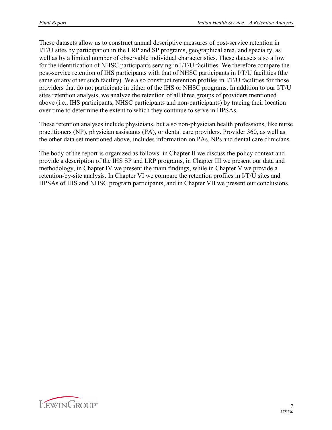These datasets allow us to construct annual descriptive measures of post-service retention in I/T/U sites by participation in the LRP and SP programs, geographical area, and specialty, as well as by a limited number of observable individual characteristics. These datasets also allow for the identification of NHSC participants serving in I/T/U facilities. We therefore compare the post-service retention of IHS participants with that of NHSC participants in I/T/U facilities (the same or any other such facility). We also construct retention profiles in I/T/U facilities for those providers that do not participate in either of the IHS or NHSC programs. In addition to our I/T/U sites retention analysis, we analyze the retention of all three groups of providers mentioned above (i.e., IHS participants, NHSC participants and non-participants) by tracing their location over time to determine the extent to which they continue to serve in HPSAs.

These retention analyses include physicians, but also non-physician health professions, like nurse practitioners (NP), physician assistants (PA), or dental care providers. Provider 360, as well as the other data set mentioned above, includes information on PAs, NPs and dental care clinicians.

The body of the report is organized as follows: in Chapter II we discuss the policy context and provide a description of the IHS SP and LRP programs, in Chapter III we present our data and methodology, in Chapter IV we present the main findings, while in Chapter V we provide a retention-by-site analysis. In Chapter VI we compare the retention profiles in I/T/U sites and HPSAs of IHS and NHSC program participants, and in Chapter VII we present our conclusions.

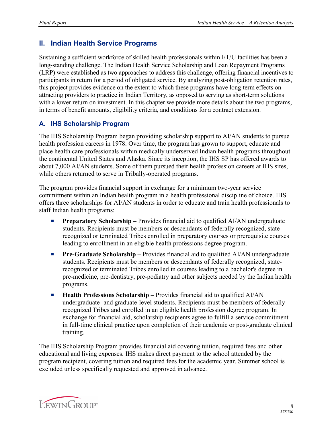#### <span id="page-11-0"></span>**II. Indian Health Service Programs**

Sustaining a sufficient workforce of skilled health professionals within I/T/U facilities has been a long-standing challenge. The Indian Health Service Scholarship and Loan Repayment Programs (LRP) were established as two approaches to address this challenge, offering financial incentives to participants in return for a period of obligated service. By analyzing post-obligation retention rates, this project provides evidence on the extent to which these programs have long-term effects on attracting providers to practice in Indian Territory, as opposed to serving as short-term solutions with a lower return on investment. In this chapter we provide more details about the two programs, in terms of benefit amounts, eligibility criteria, and conditions for a contract extension.

#### <span id="page-11-1"></span>**A. IHS Scholarship Program**

The IHS Scholarship Program began providing scholarship support to AI/AN students to pursue health profession careers in 1978. Over time, the program has grown to support, educate and place health care professionals within medically underserved Indian health programs throughout the continental United States and Alaska. Since its inception, the IHS SP has offered awards to about 7,000 AI/AN students. Some of them pursued their health profession careers at IHS sites, while others returned to serve in Tribally-operated programs.

The program provides financial support in exchange for a minimum two-year service commitment within an Indian health program in a health professional discipline of choice. IHS offers three scholarships for AI/AN students in order to educate and train health professionals to staff Indian health programs:

- **Preparatory Scholarship** Provides financial aid to qualified AI/AN undergraduate students. Recipients must be members or descendants of federally recognized, staterecognized or terminated Tribes enrolled in preparatory courses or prerequisite courses leading to enrollment in an eligible health professions degree program.
- **Pre-Graduate Scholarship** Provides financial aid to qualified AI/AN undergraduate students. Recipients must be members or descendants of federally recognized, staterecognized or terminated Tribes enrolled in courses leading to a bachelor's degree in pre-medicine, pre-dentistry, pre-podiatry and other subjects needed by the Indian health programs.
- **Health Professions Scholarship** Provides financial aid to qualified AI/AN undergraduate- and graduate-level students. Recipients must be members of federally recognized Tribes and enrolled in an eligible health profession degree program. In exchange for financial aid, scholarship recipients agree to fulfill a service commitment in full-time clinical practice upon completion of their academic or post-graduate clinical training.

The IHS Scholarship Program provides financial aid covering tuition, required fees and other educational and living expenses. IHS makes direct payment to the school attended by the program recipient, covering tuition and required fees for the academic year. Summer school is excluded unless specifically requested and approved in advance.

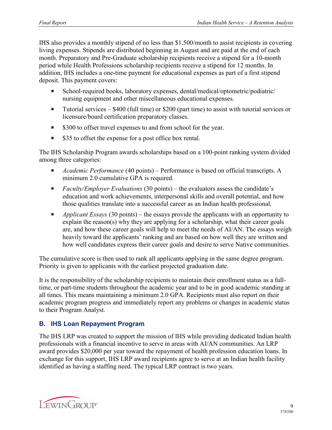IHS also provides a monthly stipend of no less than \$1,500/month to assist recipients in covering living expenses. Stipends are distributed beginning in August and are paid at the end of each month. Preparatory and Pre-Graduate scholarship recipients receive a stipend for a 10-month period while Health Professions scholarship recipients receive a stipend for 12 months. In addition, IHS includes a one-time payment for educational expenses as part of a first stipend deposit. This payment covers:

- School-required books, laboratory expenses, dental/medical/optometric/podiatric/ nursing equipment and other miscellaneous educational expenses.
- **Tutorial services \$400 (full time) or \$200 (part time) to assist with tutorial services or** licensure/board certification preparatory classes.
- \$300 to offset travel expenses to and from school for the year.
- \$35 to offset the expense for a post office box rental.

The IHS Scholarship Program awards scholarships based on a 100-point ranking system divided among three categories:

- *Academic Performance* (40 points) Performance is based on official transcripts. A minimum 2.0 cumulative GPA is required.
- *Faculty/Employer Evaluations* (30 points) the evaluators assess the candidate's education and work achievements, interpersonal skills and overall potential, and how those qualities translate into a successful career as an Indian health professional.
- **•** *Applicant Essays* (30 points) the essays provide the applicants with an opportunity to explain the reason(s) why they are applying for a scholarship, what their career goals are, and how these career goals will help to meet the needs of AI/AN. The essays weigh heavily toward the applicants' ranking and are based on how well they are written and how well candidates express their career goals and desire to serve Native communities.

The cumulative score is then used to rank all applicants applying in the same degree program. Priority is given to applicants with the earliest projected graduation date.

It is the responsibility of the scholarship recipients to maintain their enrollment status as a fulltime, or part-time students throughout the academic year and to be in good academic standing at all times. This means maintaining a minimum 2.0 GPA. Recipients must also report on their academic program progress and immediately report any problems or changes in academic status to their Program Analyst.

#### <span id="page-12-0"></span>**B. IHS Loan Repayment Program**

The IHS LRP was created to support the mission of IHS while providing dedicated Indian health professionals with a financial incentive to serve in areas with AI/AN communities. An LRP award provides \$20,000 per year toward the repayment of health profession education loans. In exchange for this support, IHS LRP award recipients agree to serve at an Indian health facility identified as having a staffing need. The typical LRP contract is two years.

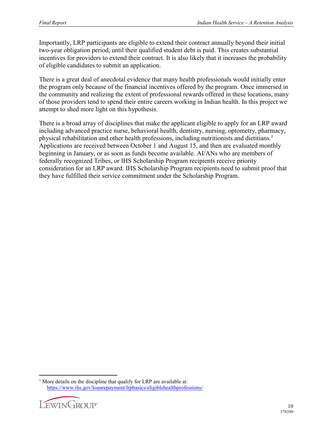Importantly, LRP participants are eligible to extend their contract annually beyond their initial two-year obligation period, until their qualified student debt is paid. This creates substantial incentives for providers to extend their contract. It is also likely that it increases the probability of eligible candidates to submit an application.

There is a great deal of anecdotal evidence that many health professionals would initially enter the program only because of the financial incentives offered by the program. Once immersed in the community and realizing the extent of professional rewards offered in these locations, many of those providers tend to spend their entire careers working in Indian health. In this project we attempt to shed more light on this hypothesis.

There is a broad array of disciplines that make the applicant eligible to apply for an LRP award including advanced practice nurse, behavioral health, dentistry, nursing, optometry, pharmacy, physical rehabilitation and other health professions, including nutritionists and dietitians.<sup>[1](#page-13-0)</sup> Applications are received between October 1 and August 15, and then are evaluated monthly beginning in January, or as soon as funds become available. AI/ANs who are members of federally recognized Tribes, or IHS Scholarship Program recipients receive priority consideration for an LRP award. IHS Scholarship Program recipients need to submit proof that they have fulfilled their service commitment under the Scholarship Program.

<span id="page-13-0"></span> $\overline{a}$ <sup>1</sup> More details on the discipline that qualify for LRP are available at: [https://www.ihs.gov/loanrepayment/lrpbasics/eligiblehealthprofessions/.](https://www.ihs.gov/loanrepayment/lrpbasics/eligiblehealthprofessions/)

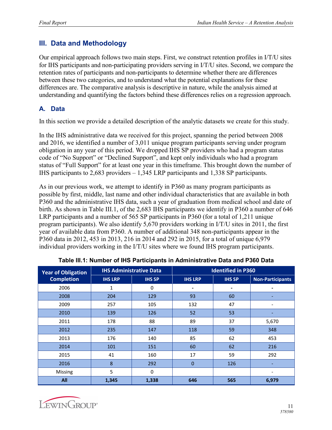## <span id="page-14-0"></span>**III. Data and Methodology**

Our empirical approach follows two main steps. First, we construct retention profiles in I/T/U sites for IHS participants and non-participating providers serving in I/T/U sites. Second, we compare the retention rates of participants and non-participants to determine whether there are differences between these two categories, and to understand what the potential explanations for these differences are. The comparative analysis is descriptive in nature, while the analysis aimed at understanding and quantifying the factors behind these differences relies on a regression approach.

#### <span id="page-14-1"></span>**A. Data**

In this section we provide a detailed description of the analytic datasets we create for this study.

In the IHS administrative data we received for this project, spanning the period between 2008 and 2016, we identified a number of 3,011 unique program participants serving under program obligation in any year of this period. We dropped IHS SP providers who had a program status code of "No Support" or "Declined Support", and kept only individuals who had a program status of "Full Support" for at least one year in this timeframe. This brought down the number of IHS participants to 2,683 providers – 1,345 LRP participants and 1,338 SP participants.

As in our previous work, we attempt to identify in P360 as many program participants as possible by first, middle, last name and other individual characteristics that are available in both P360 and the administrative IHS data, such a year of graduation from medical school and date of birth. As shown in Table III.1, of the 2,683 IHS participants we identify in P360 a number of 646 LRP participants and a number of 565 SP participants in P360 (for a total of 1,211 unique program participants). We also identify 5,670 providers working in I/T/U sites in 2011, the first year of available data from P360. A number of additional 348 non-participants appear in the P360 data in 2012, 453 in 2013, 216 in 2014 and 292 in 2015, for a total of unique 6,979 individual providers working in the I/T/U sites where we found IHS program participants.

| <b>Year of Obligation</b> |                | <b>IHS Administrative Data</b> | <b>Identified in P360</b> |                |                         |  |
|---------------------------|----------------|--------------------------------|---------------------------|----------------|-------------------------|--|
| <b>Completion</b>         | <b>IHS LRP</b> | <b>IHS SP</b>                  | <b>IHS LRP</b>            | <b>IHS SP</b>  | <b>Non-Participants</b> |  |
| 2006                      | 1              | 0                              | ٠                         | $\blacksquare$ |                         |  |
| 2008                      | 204            | 129                            | 93                        | 60             |                         |  |
| 2009                      | 257            | 105                            | 132                       | 47             | ۰                       |  |
| 2010                      | 139            | 126                            | 52                        | 53             |                         |  |
| 2011                      | 178            | 88                             | 89                        | 37             | 5,670                   |  |
| 2012                      | 235            | 147                            | 118                       | 59             | 348                     |  |
| 2013                      | 176            | 140                            | 85                        | 62             | 453                     |  |
| 2014                      | 101            | 151                            | 60                        | 62             | 216                     |  |
| 2015                      | 41             | 160                            | 17                        | 59             | 292                     |  |
| 2016                      | 8              | 292                            | $\overline{0}$            | 126            |                         |  |
| Missing                   | 5              | $\Omega$                       |                           |                |                         |  |
| All                       | 1,345          | 1,338                          | 646                       | 565            | 6,979                   |  |

| Table III.1: Number of IHS Participants in Administrative Data and P360 Data |  |  |
|------------------------------------------------------------------------------|--|--|
|                                                                              |  |  |

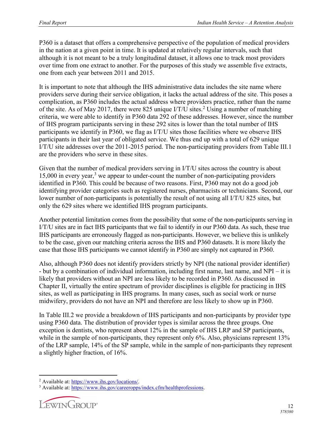P360 is a dataset that offers a comprehensive perspective of the population of medical providers in the nation at a given point in time. It is updated at relatively regular intervals, such that although it is not meant to be a truly longitudinal dataset, it allows one to track most providers over time from one extract to another. For the purposes of this study we assemble five extracts, one from each year between 2011 and 2015.

It is important to note that although the IHS administrative data includes the site name where providers serve during their service obligation, it lacks the actual address of the site. This poses a complication, as P360 includes the actual address where providers practice, rather than the name of the site. As of May [2](#page-15-0)017, there were 825 unique I/T/U sites.<sup>2</sup> Using a number of matching criteria, we were able to identify in P360 data 292 of these addresses. However, since the number of IHS program participants serving in these 292 sites is lower than the total number of IHS participants we identify in P360, we flag as I/T/U sites those facilities where we observe IHS participants in their last year of obligated service. We thus end up with a total of 629 unique I/T/U site addresses over the 2011-2015 period. The non-participating providers from Table III.1 are the providers who serve in these sites.

Given that the number of medical providers serving in I/T/U sites across the country is about 15,000 in every year, $3$  we appear to under-count the number of non-participating providers identified in P360. This could be because of two reasons. First, P360 may not do a good job identifying provider categories such as registered nurses, pharmacists or technicians. Second, our lower number of non-participants is potentially the result of not using all I/T/U 825 sites, but only the 629 sites where we identified IHS program participants.

Another potential limitation comes from the possibility that some of the non-participants serving in I/T/U sites are in fact IHS participants that we fail to identify in our P360 data. As such, these true IHS participants are erroneously flagged as non-participants. However, we believe this is unlikely to be the case, given our matching criteria across the IHS and P360 datasets. It is more likely the case that those IHS participants we cannot identify in P360 are simply not captured in P360.

Also, although P360 does not identify providers strictly by NPI (the national provider identifier) - but by a combination of individual information, including first name, last name, and NPI – it is likely that providers without an NPI are less likely to be recorded in P360. As discussed in Chapter II, virtually the entire spectrum of provider disciplines is eligible for practicing in IHS sites, as well as participating in IHS programs. In many cases, such as social work or nurse midwifery, providers do not have an NPI and therefore are less likely to show up in P360.

In Table III.2 we provide a breakdown of IHS participants and non-participants by provider type using P360 data. The distribution of provider types is similar across the three groups. One exception is dentists, who represent about 12% in the sample of IHS LRP and SP participants, while in the sample of non-participants, they represent only 6%. Also, physicians represent 13% of the LRP sample, 14% of the SP sample, while in the sample of non-participants they represent a slightly higher fraction, of 16%.

<span id="page-15-1"></span><sup>3</sup> Available at: [https://www.ihs.gov/careeropps/index.cfm/healthprofessions.](https://www.ihs.gov/careeropps/index.cfm/healthprofessions)



<span id="page-15-0"></span> $\overline{a}$ <sup>2</sup> Available at: [https://www.ihs.gov/locations/.](https://www.ihs.gov/locations/)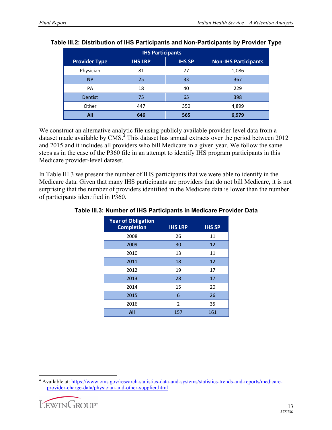|                      | <b>IHS Participants</b> |               |                             |
|----------------------|-------------------------|---------------|-----------------------------|
| <b>Provider Type</b> | <b>IHS LRP</b>          | <b>IHS SP</b> | <b>Non-IHS Participants</b> |
| Physician            | 81                      | 77            | 1,086                       |
| <b>NP</b>            | 25                      | 33            | 367                         |
| PA                   | 18                      | 40            | 229                         |
| <b>Dentist</b>       | 75                      | 65            | 398                         |
| Other<br>447         |                         | 350           | 4,899                       |
| All                  | 646                     | 565           | 6,979                       |

#### **Table III.2: Distribution of IHS Participants and Non-Participants by Provider Type**

We construct an alternative analytic file using publicly available provider-level data from a dataset made available by CMS.<sup>[4](#page-16-0)</sup> This dataset has annual extracts over the period between 2012 and 2015 and it includes all providers who bill Medicare in a given year. We follow the same steps as in the case of the P360 file in an attempt to identify IHS program participants in this Medicare provider-level dataset.

In Table III.3 we present the number of IHS participants that we were able to identify in the Medicare data. Given that many IHS participants are providers that do not bill Medicare, it is not surprising that the number of providers identified in the Medicare data is lower than the number of participants identified in P360.

| <b>Year of Obligation</b><br><b>Completion</b> | <b>IHS LRP</b> | <b>IHS SP</b> |
|------------------------------------------------|----------------|---------------|
| 2008                                           | 26             | 11            |
| 2009                                           | 30             | 12            |
| 2010                                           | 13             | 11            |
| 2011                                           | 18             | 12            |
| 2012                                           | 19             | 17            |
| 2013                                           | 28             | 17            |
| 2014                                           | 15             | 20            |
| 2015                                           | 6              | 26            |
| 2016                                           | $\overline{2}$ | 35            |
| All                                            | 157            | 161           |

#### **Table III.3: Number of IHS Participants in Medicare Provider Data**

<sup>4</sup> Available at: [https://www.cms.gov/research-statistics-data-and-systems/statistics-trends-and-reports/medicare](https://www.cms.gov/research-statistics-data-and-systems/statistics-trends-and-reports/medicare-provider-charge-data/physician-and-other-supplier.html)[provider-charge-data/physician-and-other-supplier.html](https://www.cms.gov/research-statistics-data-and-systems/statistics-trends-and-reports/medicare-provider-charge-data/physician-and-other-supplier.html)



<span id="page-16-0"></span> $\overline{a}$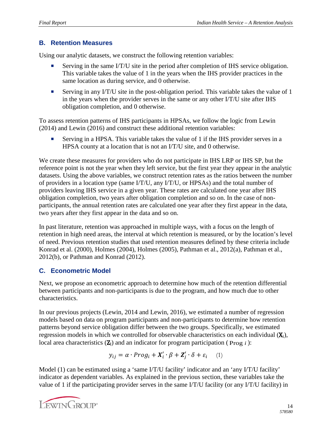#### **B. Retention Measures**

Using our analytic datasets, we construct the following retention variables:

- Serving in the same I/T/U site in the period after completion of IHS service obligation. This variable takes the value of 1 in the years when the IHS provider practices in the same location as during service, and 0 otherwise.
- Serving in any I/T/U site in the post-obligation period. This variable takes the value of 1 in the years when the provider serves in the same or any other I/T/U site after IHS obligation completion, and 0 otherwise.

To assess retention patterns of IHS participants in HPSAs, we follow the logic from Lewin (2014) and Lewin (2016) and construct these additional retention variables:

 Serving in a HPSA. This variable takes the value of 1 if the IHS provider serves in a HPSA county at a location that is not an I/T/U site, and 0 otherwise.

We create these measures for providers who do not participate in IHS LRP or IHS SP, but the reference point is not the year when they left service, but the first year they appear in the analytic datasets. Using the above variables, we construct retention rates as the ratios between the number of providers in a location type (same I/T/U, any I/T/U, or HPSAs) and the total number of providers leaving IHS service in a given year. These rates are calculated one year after IHS obligation completion, two years after obligation completion and so on. In the case of nonparticipants, the annual retention rates are calculated one year after they first appear in the data, two years after they first appear in the data and so on.

In past literature, retention was approached in multiple ways, with a focus on the length of retention in high need areas, the interval at which retention is measured, or by the location's level of need. Previous retention studies that used retention measures defined by these criteria include Konrad et al. (2000), Holmes (2004), Holmes (2005), Pathman et al., 2012(a), Pathman et al., 2012(b), or Pathman and Konrad (2012).

#### **C. Econometric Model**

Next, we propose an econometric approach to determine how much of the retention differential between participants and non-participants is due to the program, and how much due to other characteristics.

In our previous projects (Lewin, 2014 and Lewin, 2016), we estimated a number of regression models based on data on program participants and non-participants to determine how retention patterns beyond service obligation differ between the two groups. Specifically, we estimated regression models in which we controlled for observable characteristics on each individual  $(X_i)$ , local area characteristics (Ζj) and an indicator for program participation ( Prog *i* ):

$$
y_{ij} = \alpha \cdot Prog_i + X'_i \cdot \beta + Z'_j \cdot \delta + \varepsilon_i \quad (1)
$$

Model (1) can be estimated using a 'same I/T/U facility' indicator and an 'any I/T/U facility' indicator as dependent variables. As explained in the previous section, these variables take the value of 1 if the participating provider serves in the same I/T/U facility (or any I/T/U facility) in

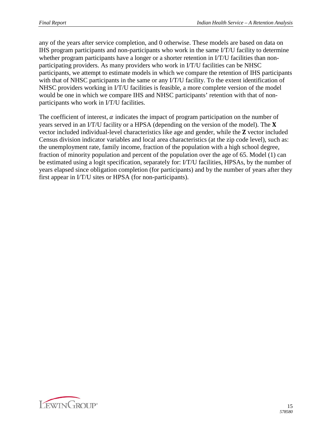any of the years after service completion, and 0 otherwise. These models are based on data on IHS program participants and non-participants who work in the same I/T/U facility to determine whether program participants have a longer or a shorter retention in I/T/U facilities than nonparticipating providers. As many providers who work in I/T/U facilities can be NHSC participants, we attempt to estimate models in which we compare the retention of IHS participants with that of NHSC participants in the same or any I/T/U facility. To the extent identification of NHSC providers working in I/T/U facilities is feasible, a more complete version of the model would be one in which we compare IHS and NHSC participants' retention with that of nonparticipants who work in I/T/U facilities.

The coefficient of interest,  $\alpha$  indicates the impact of program participation on the number of years served in an I/T/U facility or a HPSA (depending on the version of the model). The  $X$ vector included individual-level characteristics like age and gender, while the **Z** vector included Census division indicator variables and local area characteristics (at the zip code level), such as: the unemployment rate, family income, fraction of the population with a high school degree, fraction of minority population and percent of the population over the age of 65. Model (1) can be estimated using a logit specification, separately for: I/T/U facilities, HPSAs, by the number of years elapsed since obligation completion (for participants) and by the number of years after they first appear in I/T/U sites or HPSA (for non-participants).

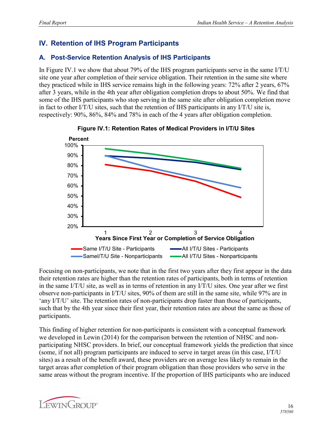## <span id="page-19-0"></span>**IV. Retention of IHS Program Participants**

#### <span id="page-19-1"></span>**A. Post-Service Retention Analysis of IHS Participants**

In Figure IV.1 we show that about 79% of the IHS program participants serve in the same I/T/U site one year after completion of their service obligation. Their retention in the same site where they practiced while in IHS service remains high in the following years: 72% after 2 years, 67% after 3 years, while in the 4th year after obligation completion drops to about 50%. We find that some of the IHS participants who stop serving in the same site after obligation completion move in fact to other I/T/U sites, such that the retention of IHS participants in any I/T/U site is, respectively: 90%, 86%, 84% and 78% in each of the 4 years after obligation completion.





Focusing on non-participants, we note that in the first two years after they first appear in the data their retention rates are higher than the retention rates of participants, both in terms of retention in the same I/T/U site, as well as in terms of retention in any I/T/U sites. One year after we first observe non-participants in I/T/U sites, 90% of them are still in the same site, while 97% are in 'any I/T/U' site. The retention rates of non-participants drop faster than those of participants, such that by the 4th year since their first year, their retention rates are about the same as those of participants.

This finding of higher retention for non-participants is consistent with a conceptual framework we developed in Lewin (2014) for the comparison between the retention of NHSC and nonparticipating NHSC providers. In brief, our conceptual framework yields the prediction that since (some, if not all) program participants are induced to serve in target areas (in this case, I/T/U sites) as a result of the benefit award, these providers are on average less likely to remain in the target areas after completion of their program obligation than those providers who serve in the same areas without the program incentive. If the proportion of IHS participants who are induced

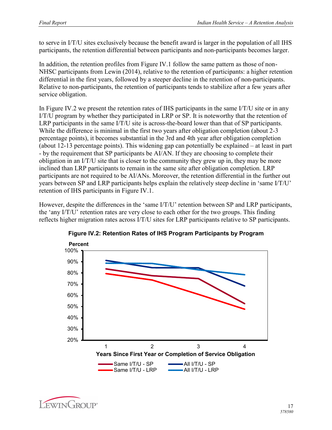to serve in I/T/U sites exclusively because the benefit award is larger in the population of all IHS participants, the retention differential between participants and non-participants becomes larger.

In addition, the retention profiles from Figure IV.1 follow the same pattern as those of non-NHSC participants from Lewin (2014), relative to the retention of participants: a higher retention differential in the first years, followed by a steeper decline in the retention of non-participants. Relative to non-participants, the retention of participants tends to stabilize after a few years after service obligation.

In Figure IV.2 we present the retention rates of IHS participants in the same I/T/U site or in any I/T/U program by whether they participated in LRP or SP. It is noteworthy that the retention of LRP participants in the same I/T/U site is across-the-board lower than that of SP participants. While the difference is minimal in the first two years after obligation completion (about 2-3 percentage points), it becomes substantial in the 3rd and 4th year after obligation completion (about 12-13 percentage points). This widening gap can potentially be explained – at least in part - by the requirement that SP participants be AI/AN. If they are choosing to complete their obligation in an I/T/U site that is closer to the community they grew up in, they may be more inclined than LRP participants to remain in the same site after obligation completion. LRP participants are not required to be AI/ANs. Moreover, the retention differential in the further out years between SP and LRP participants helps explain the relatively steep decline in 'same I/T/U' retention of IHS participants in Figure IV.1.

However, despite the differences in the 'same I/T/U' retention between SP and LRP participants, the 'any I/T/U' retention rates are very close to each other for the two groups. This finding reflects higher migration rates across I/T/U sites for LRP participants relative to SP participants.



**Figure IV.2: Retention Rates of IHS Program Participants by Program**

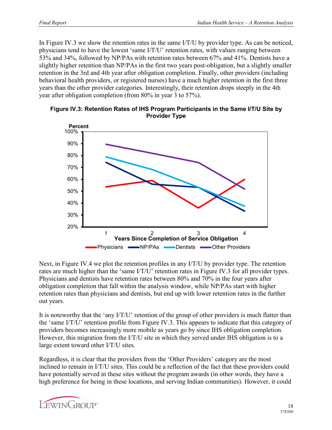In Figure IV.3 we show the retention rates in the same I/T/U by provider type. As can be noticed, physicians tend to have the lowest 'same I/T/U' retention rates, with values ranging between 53% and 34%, followed by NP/PAs with retention rates between 67% and 41%. Dentists have a slightly higher retention than NP/PAs in the first two years post-obligation, but a slightly smaller retention in the 3rd and 4th year after obligation completion. Finally, other providers (including behavioral health providers, or registered nurses) have a much higher retention in the first three years than the other provider categories. Interestingly, their retention drops steeply in the 4th year after obligation completion (from 80% in year 3 to 57%).





Next, in Figure IV.4 we plot the retention profiles in any I/T/U by provider type. The retention rates are much higher than the 'same I/T/U' retention rates in Figure IV.3 for all provider types. Physicians and dentists have retention rates between 80% and 70% in the four years after obligation completion that fall within the analysis window, while NP/PAs start with higher retention rates than physicians and dentists, but end up with lower retention rates in the further out years.

It is noteworthy that the 'any I/T/U' retention of the group of other providers is much flatter than the 'same I/T/U' retention profile from Figure IV.3. This appears to indicate that this category of providers becomes increasingly more mobile as years go by since IHS obligation completion. However, this migration from the I/T/U site in which they served under IHS obligation is to a large extent toward other I/T/U sites.

Regardless, it is clear that the providers from the 'Other Providers' category are the most inclined to remain in I/T/U sites. This could be a reflection of the fact that these providers could have potentially served in these sites without the program awards (in other words, they have a high preference for being in these locations, and serving Indian communities). However, it could

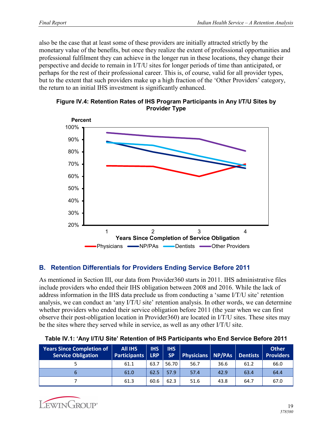also be the case that at least some of these providers are initially attracted strictly by the monetary value of the benefits, but once they realize the extent of professional opportunities and professional fulfilment they can achieve in the longer run in these locations, they change their perspective and decide to remain in I/T/U sites for longer periods of time than anticipated, or perhaps for the rest of their professional career. This is, of course, valid for all provider types, but to the extent that such providers make up a high fraction of the 'Other Providers' category, the return to an initial IHS investment is significantly enhanced.





#### <span id="page-22-0"></span>**B. Retention Differentials for Providers Ending Service Before 2011**

As mentioned in Section III, our data from Provider360 starts in 2011. IHS administrative files include providers who ended their IHS obligation between 2008 and 2016. While the lack of address information in the IHS data preclude us from conducting a 'same I/T/U site' retention analysis, we can conduct an 'any I/T/U site' retention analysis. In other words, we can determine whether providers who ended their service obligation before 2011 (the year when we can first observe their post-obligation location in Provider360) are located in I/T/U sites. These sites may be the sites where they served while in service, as well as any other I/T/U site.

| <b>Years Since Completion of</b><br><b>Service Obligation</b> | <b>All IHS</b><br><b>Participants</b> | <b>IHS</b><br><b>LRP</b> | <b>IHS</b><br><b>SP</b> | <b>Physicians NP/PAs</b> |      | <b>Dentists</b> | <b>Other</b><br><b>Providers</b> |
|---------------------------------------------------------------|---------------------------------------|--------------------------|-------------------------|--------------------------|------|-----------------|----------------------------------|
|                                                               | 61.1                                  | 63.7                     | 56.70                   | 56.7                     | 36.6 | 61.2            | 66.0                             |
| b                                                             | 61.0                                  | 62.5                     | 57.9                    | 57.4                     | 42.9 | 63.4            | 64.4                             |
|                                                               | 61.3                                  | 60.6                     | 62.3                    | 51.6                     | 43.8 | 64.7            | 67.0                             |

|  | Table IV.1: 'Any I/T/U Site' Retention of IHS Participants who End Service Before 2011 |  |
|--|----------------------------------------------------------------------------------------|--|
|  |                                                                                        |  |

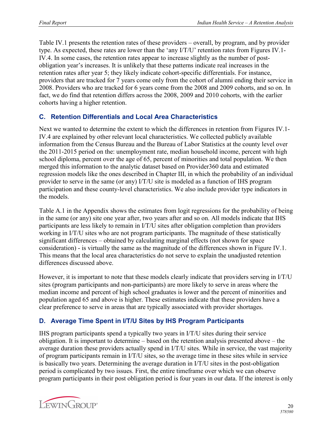Table IV.1 presents the retention rates of these providers – overall, by program, and by provider type. As expected, these rates are lower than the 'any I/T/U' retention rates from Figures IV.1- IV.4. In some cases, the retention rates appear to increase slightly as the number of postobligation year's increases. It is unlikely that these patterns indicate real increases in the retention rates after year 5; they likely indicate cohort-specific differentials. For instance, providers that are tracked for 7 years come only from the cohort of alumni ending their service in 2008. Providers who are tracked for 6 years come from the 2008 and 2009 cohorts, and so on. In fact, we do find that retention differs across the 2008, 2009 and 2010 cohorts, with the earlier cohorts having a higher retention.

#### <span id="page-23-0"></span>**C. Retention Differentials and Local Area Characteristics**

Next we wanted to determine the extent to which the differences in retention from Figures IV.1- IV.4 are explained by other relevant local characteristics. We collected publicly available information from the Census Bureau and the Bureau of Labor Statistics at the county level over the 2011-2015 period on the: unemployment rate, median household income, percent with high school diploma, percent over the age of 65, percent of minorities and total population. We then merged this information to the analytic dataset based on Provider360 data and estimated regression models like the ones described in Chapter III, in which the probability of an individual provider to serve in the same (or any) I/T/U site is modeled as a function of IHS program participation and these county-level characteristics. We also include provider type indicators in the models.

Table A.1 in the Appendix shows the estimates from logit regressions for the probability of being in the same (or any) site one year after, two years after and so on. All models indicate that IHS participants are less likely to remain in I/T/U sites after obligation completion than providers working in I/T/U sites who are not program participants. The magnitude of these statistically significant differences – obtained by calculating marginal effects (not shown for space consideration) - is virtually the same as the magnitude of the differences shown in Figure IV.1. This means that the local area characteristics do not serve to explain the unadjusted retention differences discussed above.

However, it is important to note that these models clearly indicate that providers serving in I/T/U sites (program participants and non-participants) are more likely to serve in areas where the median income and percent of high school graduates is lower and the percent of minorities and population aged 65 and above is higher. These estimates indicate that these providers have a clear preference to serve in areas that are typically associated with provider shortages.

#### <span id="page-23-1"></span>**D. Average Time Spent in I/T/U Sites by IHS Program Participants**

IHS program participants spend a typically two years in I/T/U sites during their service obligation. It is important to determine – based on the retention analysis presented above – the average duration these providers actually spend in I/T/U sites. While in service, the vast majority of program participants remain in I/T/U sites, so the average time in these sites while in service is basically two years. Determining the average duration in I/T/U sites in the post-obligation period is complicated by two issues. First, the entire timeframe over which we can observe program participants in their post obligation period is four years in our data. If the interest is only

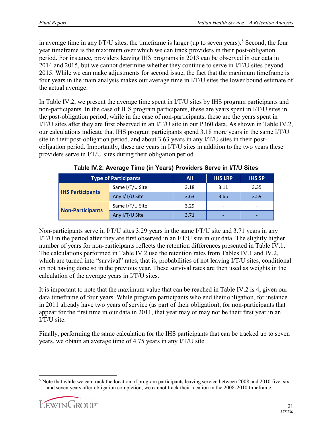in average time in any  $I/T/U$  sites, the timeframe is larger (up to seven years).<sup>[5](#page-24-0)</sup> Second, the four year timeframe is the maximum over which we can track providers in their post-obligation period. For instance, providers leaving IHS programs in 2013 can be observed in our data in 2014 and 2015, but we cannot determine whether they continue to serve in I/T/U sites beyond 2015. While we can make adjustments for second issue, the fact that the maximum timeframe is four years in the main analysis makes our average time in I/T/U sites the lower bound estimate of the actual average.

In Table IV.2, we present the average time spent in I/T/U sites by IHS program participants and non-participants. In the case of IHS program participants, these are years spent in I/T/U sites in the post-obligation period, while in the case of non-participants, these are the years spent in I/T/U sites after they are first observed in an I/T/U site in our P360 data. As shown in Table IV.2, our calculations indicate that IHS program participants spend 3.18 more years in the same I/T/U site in their post-obligation period, and about 3.63 years in any I/T/U sites in their postobligation period. Importantly, these are years in I/T/U sites in addition to the two years these providers serve in I/T/U sites during their obligation period.

| <b>Type of Participants</b> | All.            | <b>IHS LRP</b> | <b>IHS SP</b> |                          |
|-----------------------------|-----------------|----------------|---------------|--------------------------|
| <b>IHS Participants</b>     | Same I/T/U Site | 3.18           | 3.11          | 3.35                     |
|                             | Any I/T/U Site  | 3.63           | 3.65          | 3.59                     |
| <b>Non-Participants</b>     | Same I/T/U Site | 3.29           | -             | $\overline{\phantom{a}}$ |
|                             | Any I/T/U Site  | 3.71           |               |                          |

**Table IV.2: Average Time (in Years) Providers Serve in I/T/U Sites**

Non-participants serve in I/T/U sites 3.29 years in the same I/T/U site and 3.71 years in any I/T/U in the period after they are first observed in an I/T/U site in our data. The slightly higher number of years for non-participants reflects the retention differences presented in Table IV.1. The calculations performed in Table IV.2 use the retention rates from Tables IV.1 and IV.2, which are turned into "survival" rates, that is, probabilities of not leaving I/T/U sites, conditional on not having done so in the previous year. These survival rates are then used as weights in the calculation of the average years in I/T/U sites.

It is important to note that the maximum value that can be reached in Table IV.2 is 4, given our data timeframe of four years. While program participants who end their obligation, for instance in 2011 already have two years of service (as part of their obligation), for non-participants that appear for the first time in our data in 2011, that year may or may not be their first year in an I/T/U site.

Finally, performing the same calculation for the IHS participants that can be tracked up to seven years, we obtain an average time of 4.75 years in any I/T/U site.

<span id="page-24-0"></span> $\overline{a}$ <sup>5</sup> Note that while we can track the location of program participants leaving service between 2008 and 2010 five, six and seven years after obligation completion, we cannot track their location in the 2008-2010 timeframe.

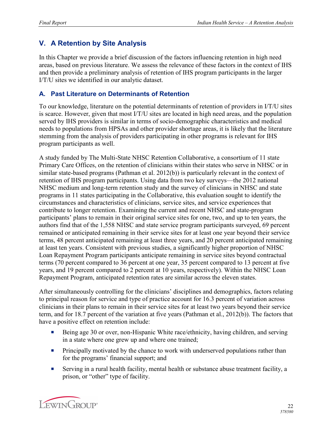## <span id="page-25-0"></span>**V. A Retention by Site Analysis**

In this Chapter we provide a brief discussion of the factors influencing retention in high need areas, based on previous literature. We assess the relevance of these factors in the context of IHS and then provide a preliminary analysis of retention of IHS program participants in the larger I/T/U sites we identified in our analytic dataset.

#### <span id="page-25-1"></span>**A. Past Literature on Determinants of Retention**

To our knowledge, literature on the potential determinants of retention of providers in I/T/U sites is scarce. However, given that most I/T/U sites are located in high need areas, and the population served by IHS providers is similar in terms of socio-demographic characteristics and medical needs to populations from HPSAs and other provider shortage areas, it is likely that the literature stemming from the analysis of providers participating in other programs is relevant for IHS program participants as well.

A study funded by The Multi-State NHSC Retention Collaborative, a consortium of 11 state Primary Care Offices, on the retention of clinicians within their states who serve in NHSC or in similar state-based programs (Pathman et al. 2012(b)) is particularly relevant in the context of retention of IHS program participants. Using data from two key surveys—the 2012 national NHSC medium and long-term retention study and the survey of clinicians in NHSC and state programs in 11 states participating in the Collaborative, this evaluation sought to identify the circumstances and characteristics of clinicians, service sites, and service experiences that contribute to longer retention. Examining the current and recent NHSC and state-program participants' plans to remain in their original service sites for one, two, and up to ten years, the authors find that of the 1,558 NHSC and state service program participants surveyed, 69 percent remained or anticipated remaining in their service sites for at least one year beyond their service terms, 48 percent anticipated remaining at least three years, and 20 percent anticipated remaining at least ten years. Consistent with previous studies, a significantly higher proportion of NHSC Loan Repayment Program participants anticipate remaining in service sites beyond contractual terms (70 percent compared to 36 percent at one year, 35 percent compared to 13 percent at five years, and 19 percent compared to 2 percent at 10 years, respectively). Within the NHSC Loan Repayment Program, anticipated retention rates are similar across the eleven states.

After simultaneously controlling for the clinicians' disciplines and demographics, factors relating to principal reason for service and type of practice account for 16.3 percent of variation across clinicians in their plans to remain in their service sites for at least two years beyond their service term, and for 18.7 percent of the variation at five years (Pathman et al., 2012(b)). The factors that have a positive effect on retention include:

- Being age 30 or over, non-Hispanic White race/ethnicity, having children, and serving in a state where one grew up and where one trained;
- **•** Principally motivated by the chance to work with underserved populations rather than for the programs' financial support; and
- Serving in a rural health facility, mental health or substance abuse treatment facility, a prison, or "other" type of facility.

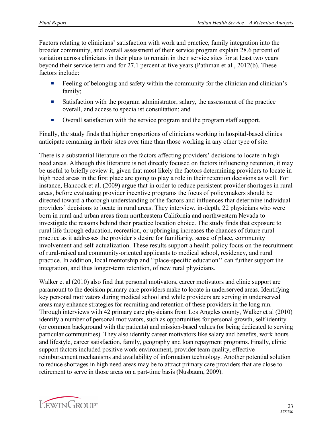Factors relating to clinicians' satisfaction with work and practice, family integration into the broader community, and overall assessment of their service program explain 28.6 percent of variation across clinicians in their plans to remain in their service sites for at least two years beyond their service term and for 27.1 percent at five years (Pathman et al., 2012(b). These factors include:

- Feeling of belonging and safety within the community for the clinician and clinician's family;
- Satisfaction with the program administrator, salary, the assessment of the practice overall, and access to specialist consultation; and
- ¡ Overall satisfaction with the service program and the program staff support.

Finally, the study finds that higher proportions of clinicians working in hospital-based clinics anticipate remaining in their sites over time than those working in any other type of site.

There is a substantial literature on the factors affecting providers' decisions to locate in high need areas. Although this literature is not directly focused on factors influencing retention, it may be useful to briefly review it, given that most likely the factors determining providers to locate in high need areas in the first place are going to play a role in their retention decisions as well. For instance, Hancock et al. (2009) argue that in order to reduce persistent provider shortages in rural areas, before evaluating provider incentive programs the focus of policymakers should be directed toward a thorough understanding of the factors and influences that determine individual providers' decisions to locate in rural areas. They interview, in-depth, 22 physicians who were born in rural and urban areas from northeastern California and northwestern Nevada to investigate the reasons behind their practice location choice. The study finds that exposure to rural life through education, recreation, or upbringing increases the chances of future rural practice as it addresses the provider's desire for familiarity, sense of place, community involvement and self-actualization. These results support a health policy focus on the recruitment of rural-raised and community-oriented applicants to medical school, residency, and rural practice. In addition, local mentorship and ''place-specific education'' can further support the integration, and thus longer-term retention, of new rural physicians.

Walker et al (2010) also find that personal motivators, career motivators and clinic support are paramount to the decision primary care providers make to locate in underserved areas. Identifying key personal motivators during medical school and while providers are serving in underserved areas may enhance strategies for recruiting and retention of these providers in the long run. Through interviews with 42 primary care physicians from Los Angeles county, Walker et al (2010) identify a number of personal motivators, such as opportunities for personal growth, self-identity (or common background with the patients) and mission-based values (or being dedicated to serving particular communities). They also identify career motivators like salary and benefits, work hours and lifestyle, career satisfaction, family, geography and loan repayment programs. Finally, clinic support factors included positive work environment, provider team quality, effective reimbursement mechanisms and availability of information technology. Another potential solution to reduce shortages in high need areas may be to attract primary care providers that are close to retirement to serve in those areas on a part-time basis (Nusbaum, 2009).

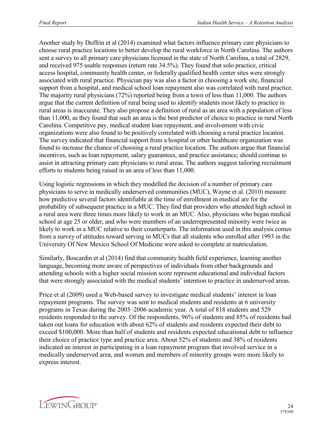Another study by Duffrin et al (2014) examined what factors influence primary care physicians to choose rural practice locations to better develop the rural workforce in North Carolina. The authors sent a survey to all primary care physicians licensed in the state of North Carolina, a total of 2829, and received 975 usable responses (return rate 34.5%). They found that solo practice, critical access hospital, community health center, or federally qualified health center sites were strongly associated with rural practice. Physician pay was also a factor in choosing a work site, financial support from a hospital, and medical school loan repayment also was correlated with rural practice. The majority rural physicians (72%) reported being from a town of less than 11,000. The authors argue that the current definition of rural being used to identify students most likely to practice in rural areas is inaccurate. They also propose a definition of rural as an area with a population of less than 11,000, as they found that such an area is the best predictor of choice to practice in rural North Carolina. Competitive pay, medical student loan repayment, and involvement with civic organizations were also found to be positively correlated with choosing a rural practice location. The survey indicated that financial support from a hospital or other healthcare organization was found to increase the chance of choosing a rural practice location. The authors argue that financial incentives, such as loan repayment, salary guarantees, and practice assistance, should continue to assist in attracting primary care physicians to rural areas. The authors suggest tailoring recruitment efforts to students being raised in an area of less than 11,000.

Using logistic regressions in which they modelled the decision of a number of primary care physicians to serve in medically underserved communities (MUC), Wayne et al. (2010) measure how predictive several factors identifiable at the time of enrollment in medical are for the probability of subsequent practice in a MUC. They find that providers who attended high school in a rural area were three times more likely to work in an MUC. Also, physicians who began medical school at age 25 or older, and who were members of an underrepresented minority were twice as likely to work in a MUC relative to their counterparts. The information used in this analysis comes from a survey of attitudes toward serving in MUCs that all students who enrolled after 1993 in the University Of New Mexico School Of Medicine were asked to complete at matriculation.

Similarly, Boscardin et al (2014) find that community health field experience, learning another language, becoming more aware of perspectives of individuals from other backgrounds and attending schools with a higher social mission score represent educational and individual factors that were strongly associated with the medical students' intention to practice in underserved areas.

Price et al (2009) used a Web-based survey to investigate medical students' interest in loan repayment programs. The survey was sent to medical students and residents at 6 university programs in Texas during the 2005–2006 academic year. A total of 818 students and 529 residents responded to the survey. Of the respondents, 96% of students and 85% of residents had taken out loans for education with about 62% of students and residents expected their debt to exceed \$100,000. More than half of students and residents expected educational debt to influence their choice of practice type and practice area. About 52% of students and 38% of residents indicated an interest in participating in a loan repayment program that involved service in a medically underserved area, and women and members of minority groups were more likely to express interest.

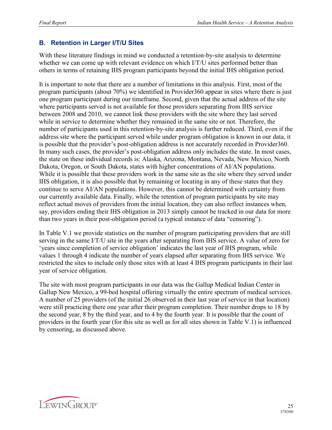#### <span id="page-28-0"></span>**B. Retention in Larger I/T/U Sites**

With these literature findings in mind we conducted a retention-by-site analysis to determine whether we can come up with relevant evidence on which I/T/U sites performed better than others in terms of retaining IHS program participants beyond the initial IHS obligation period.

It is important to note that there are a number of limitations in this analysis. First, most of the program participants (about 70%) we identified in Provider360 appear in sites where there is just one program participant during our timeframe. Second, given that the actual address of the site where participants served is not available for those providers separating from IHS service between 2008 and 2010, we cannot link these providers with the site where they last served while in service to determine whether they remained in the same site or not. Therefore, the number of participants used in this retention-by-site analysis is further reduced. Third, even if the address site where the participant served while under program obligation is known in our data, it is possible that the provider's post-obligation address is not accurately recorded in Provider360. In many such cases, the provider's post-obligation address only includes the state. In most cases, the state on these individual records is: Alaska, Arizona, Montana, Nevada, New Mexico, North Dakota, Oregon, or South Dakota, states with higher concentrations of AI/AN populations. While it is possible that these providers work in the same site as the site where they served under IHS obligation, it is also possible that by remaining or locating in any of these states that they continue to serve AI/AN populations. However, this cannot be determined with certainty from our currently available data. Finally, while the retention of program participants by site may reflect actual moves of providers from the initial location, they can also reflect instances when, say, providers ending their IHS obligation in 2013 simply cannot be tracked in our data for more than two years in their post-obligation period (a typical instance of data "censoring").

In Table V.1 we provide statistics on the number of program participating providers that are still serving in the same I/T/U site in the years after separating from IHS service. A value of zero for 'years since completion of service obligation' indicates the last year of IHS program, while values 1 through 4 indicate the number of years elapsed after separating from IHS service. We restricted the sites to include only those sites with at least 4 IHS program participants in their last year of service obligation.

The site with most program participants in our data was the Gallup Medical Indian Center in Gallup New Mexico, a 99-bed hospital offering virtually the entire spectrum of medical services. A number of 25 providers (of the initial 26 observed in their last year of service in that location) were still practicing there one year after their program completion. Their number drops to 18 by the second year, 8 by the third year, and to 4 by the fourth year. It is possible that the count of providers in the fourth year (for this site as well as for all sites shown in Table V.1) is influenced by censoring, as discussed above.

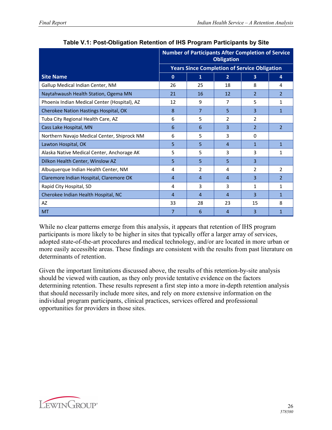|                                              | <b>Number of Participants After Completion of Service</b><br><b>Obligation</b> |                                                     |                |                         |                |
|----------------------------------------------|--------------------------------------------------------------------------------|-----------------------------------------------------|----------------|-------------------------|----------------|
|                                              |                                                                                | <b>Years Since Completion of Service Obligation</b> |                |                         |                |
| <b>Site Name</b>                             | $\mathbf{0}$                                                                   | $\mathbf{1}$                                        | $\overline{2}$ | $\overline{\mathbf{3}}$ | 4              |
| Gallup Medical Indian Center, NM             | 26                                                                             | 25                                                  | 18             | 8                       | 4              |
| Naytahwaush Health Station, Ogema MN         | 21                                                                             | 16                                                  | 12             | $\overline{2}$          | 2              |
| Phoenix Indian Medical Center (Hospital), AZ | 12                                                                             | 9                                                   | $\overline{7}$ | 5                       | 1              |
| Cherokee Nation Hastings Hospital, OK        | 8                                                                              | $\overline{7}$                                      | 5              | 3                       | 1              |
| Tuba City Regional Health Care, AZ           | 6                                                                              | 5                                                   | $\overline{2}$ | 2                       |                |
| Cass Lake Hospital, MN                       | 6                                                                              | 6                                                   | 3              | $\overline{2}$          | $\mathfrak{p}$ |
| Northern Navajo Medical Center, Shiprock NM  | 6                                                                              | 5                                                   | 3              | $\Omega$                |                |
| Lawton Hospital, OK                          | 5                                                                              | 5                                                   | $\overline{4}$ | $\mathbf{1}$            | $\mathbf{1}$   |
| Alaska Native Medical Center, Anchorage AK   | 5                                                                              | 5                                                   | 3              | 3                       | 1              |
| Dilkon Health Center, Winslow AZ             | 5                                                                              | 5                                                   | 5              | 3                       |                |
| Albuquerque Indian Health Center, NM         | 4                                                                              | $\mathcal{P}$                                       | 4              | $\mathcal{P}$           | $\overline{2}$ |
| Claremore Indian Hospital, Claremore OK      | $\overline{4}$                                                                 | $\overline{4}$                                      | $\overline{4}$ | 3                       | $\overline{2}$ |
| Rapid City Hospital, SD                      | 4                                                                              | 3                                                   | 3              | 1                       | 1              |
| Cherokee Indian Health Hospital, NC          | 4                                                                              | 4                                                   | $\overline{4}$ | 3                       | 1              |
| AZ                                           | 33                                                                             | 28                                                  | 23             | 15                      | 8              |
| <b>MT</b>                                    | 7                                                                              | 6                                                   | 4              | $\overline{3}$          | 1              |

#### **Table V.1: Post-Obligation Retention of IHS Program Participants by Site**

While no clear patterns emerge from this analysis, it appears that retention of IHS program participants is more likely to be higher in sites that typically offer a larger array of services, adopted state-of-the-art procedures and medical technology, and/or are located in more urban or more easily accessible areas. These findings are consistent with the results from past literature on determinants of retention.

Given the important limitations discussed above, the results of this retention-by-site analysis should be viewed with caution, as they only provide tentative evidence on the factors determining retention. These results represent a first step into a more in-depth retention analysis that should necessarily include more sites, and rely on more extensive information on the individual program participants, clinical practices, services offered and professional opportunities for providers in those sites.

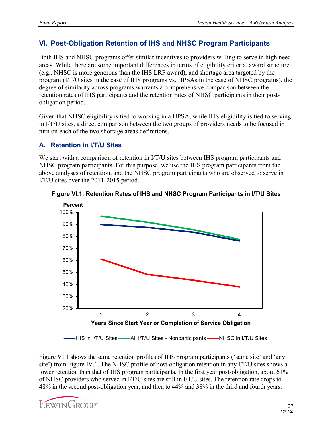## <span id="page-30-0"></span>**VI. Post-Obligation Retention of IHS and NHSC Program Participants**

Both IHS and NHSC programs offer similar incentives to providers willing to serve in high need areas. While there are some important differences in terms of eligibility criteria, award structure (e.g., NHSC is more generous than the IHS LRP award), and shortage area targeted by the program (I/T/U sites in the case of IHS programs vs. HPSAs in the case of NHSC programs), the degree of similarity across programs warrants a comprehensive comparison between the retention rates of IHS participants and the retention rates of NHSC participants in their postobligation period.

Given that NHSC eligibility is tied to working in a HPSA, while IHS eligibility is tied to serving in I/T/U sites, a direct comparison between the two groups of providers needs to be focused in turn on each of the two shortage areas definitions.

#### <span id="page-30-1"></span>**A. Retention in I/T/U Sites**

We start with a comparison of retention in I/T/U sites between IHS program participants and NHSC program participants. For this purpose, we use the IHS program participants from the above analyses of retention, and the NHSC program participants who are observed to serve in I/T/U sites over the 2011-2015 period.



#### **Figure VI.1: Retention Rates of IHS and NHSC Program Participants in I/T/U Sites**

IHS in I/T/U Sites — All I/T/U Sites - Nonparticipants — NHSC in I/T/U Sites

Figure VI.1 shows the same retention profiles of IHS program participants ('same site' and 'any site') from Figure IV.1. The NHSC profile of post-obligation retention in any I/T/U sites shows a lower retention than that of IHS program participants. In the first year post-obligation, about 61% of NHSC providers who served in I/T/U sites are still in I/T/U sites. The retention rate drops to 48% in the second post-obligation year, and then to 44% and 38% in the third and fourth years.

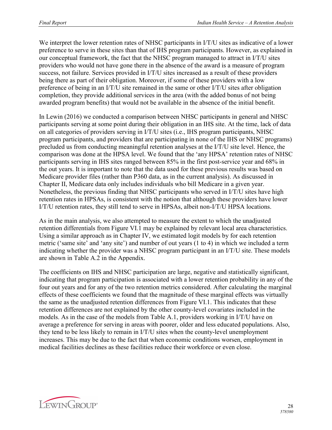We interpret the lower retention rates of NHSC participants in I/T/U sites as indicative of a lower preference to serve in these sites than that of IHS program participants. However, as explained in our conceptual framework, the fact that the NHSC program managed to attract in I/T/U sites providers who would not have gone there in the absence of the award is a measure of program success, not failure. Services provided in I/T/U sites increased as a result of these providers being there as part of their obligation. Moreover, if some of these providers with a low preference of being in an I/T/U site remained in the same or other I/T/U sites after obligation completion, they provide additional services in the area (with the added bonus of not being awarded program benefits) that would not be available in the absence of the initial benefit.

In Lewin (2016) we conducted a comparison between NHSC participants in general and NHSC participants serving at some point during their obligation in an IHS site. At the time, lack of data on all categories of providers serving in I/T/U sites (i.e., IHS program participants, NHSC program participants, and providers that are participating in none of the IHS or NHSC programs) precluded us from conducting meaningful retention analyses at the I/T/U site level. Hence, the comparison was done at the HPSA level. We found that the 'any HPSA' retention rates of NHSC participants serving in IHS sites ranged between 85% in the first post-service year and 68% in the out years. It is important to note that the data used for these previous results was based on Medicare provider files (rather than P360 data, as in the current analysis). As discussed in Chapter II, Medicare data only includes individuals who bill Medicare in a given year. Nonetheless, the previous finding that NHSC participants who served in I/T/U sites have high retention rates in HPSAs, is consistent with the notion that although these providers have lower I/T/U retention rates, they still tend to serve in HPSAs, albeit non-I/T/U HPSA locations.

As in the main analysis, we also attempted to measure the extent to which the unadjusted retention differentials from Figure VI.1 may be explained by relevant local area characteristics. Using a similar approach as in Chapter IV, we estimated logit models by for each retention metric ('same site' and 'any site') and number of out years (1 to 4) in which we included a term indicating whether the provider was a NHSC program participant in an I/T/U site. These models are shown in Table A.2 in the Appendix.

The coefficients on IHS and NHSC participation are large, negative and statistically significant, indicating that program participation is associated with a lower retention probability in any of the four out years and for any of the two retention metrics considered. After calculating the marginal effects of these coefficients we found that the magnitude of these marginal effects was virtually the same as the unadjusted retention differences from Figure VI.1. This indicates that these retention differences are not explained by the other county-level covariates included in the models. As in the case of the models from Table A.1, providers working in I/T/U have on average a preference for serving in areas with poorer, older and less educated populations. Also, they tend to be less likely to remain in I/T/U sites when the county-level unemployment increases. This may be due to the fact that when economic conditions worsen, employment in medical facilities declines as these facilities reduce their workforce or even close.

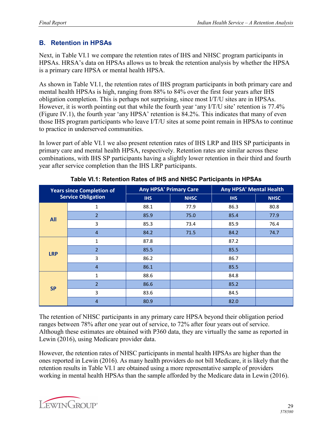#### <span id="page-32-0"></span>**B. Retention in HPSAs**

Next, in Table VI.1 we compare the retention rates of IHS and NHSC program participants in HPSAs. HRSA's data on HPSAs allows us to break the retention analysis by whether the HPSA is a primary care HPSA or mental health HPSA.

As shown in Table VI.1, the retention rates of IHS program participants in both primary care and mental health HPSAs is high, ranging from 88% to 84% over the first four years after IHS obligation completion. This is perhaps not surprising, since most I/T/U sites are in HPSAs. However, it is worth pointing out that while the fourth year 'any I/T/U site' retention is 77.4% (Figure IV.1), the fourth year 'any HPSA' retention is 84.2%. This indicates that many of even those IHS program participants who leave I/T/U sites at some point remain in HPSAs to continue to practice in underserved communities.

In lower part of able VI.1 we also present retention rates of IHS LRP and IHS SP participants in primary care and mental health HPSA, respectively. Retention rates are similar across these combinations, with IHS SP participants having a slightly lower retention in their third and fourth year after service completion than the IHS LRP participants.

| <b>Years since Completion of</b> |                           | <b>Any HPSA' Primary Care</b> |             | <b>Any HPSA' Mental Health</b> |             |  |
|----------------------------------|---------------------------|-------------------------------|-------------|--------------------------------|-------------|--|
|                                  | <b>Service Obligation</b> | <b>IHS</b>                    | <b>NHSC</b> | <b>IHS</b>                     | <b>NHSC</b> |  |
|                                  | 1                         | 88.1                          | 77.9        | 86.3                           | 80.8        |  |
| <b>All</b>                       | $\overline{2}$            | 85.9                          | 75.0        | 85.4                           | 77.9        |  |
|                                  | 3                         | 85.3                          | 73.4        | 85.9                           | 76.4        |  |
|                                  | $\overline{4}$            | 84.2                          | 71.5        | 84.2                           | 74.7        |  |
|                                  | 1                         | 87.8                          |             | 87.2                           |             |  |
| <b>LRP</b>                       | $\overline{2}$            | 85.5                          |             | 85.5                           |             |  |
|                                  | 3                         | 86.2                          |             | 86.7                           |             |  |
|                                  | $\overline{4}$            | 86.1                          |             | 85.5                           |             |  |
|                                  | $\mathbf{1}$              | 88.6                          |             | 84.8                           |             |  |
| <b>SP</b>                        | $\overline{2}$            | 86.6                          |             | 85.2                           |             |  |
|                                  | 3                         | 83.6                          |             | 84.5                           |             |  |
|                                  | $\overline{4}$            | 80.9                          |             | 82.0                           |             |  |

**Table VI.1: Retention Rates of IHS and NHSC Participants in HPSAs**

The retention of NHSC participants in any primary care HPSA beyond their obligation period ranges between 78% after one year out of service, to 72% after four years out of service. Although these estimates are obtained with P360 data, they are virtually the same as reported in Lewin (2016), using Medicare provider data.

However, the retention rates of NHSC participants in mental health HPSAs are higher than the ones reported in Lewin (2016). As many health providers do not bill Medicare, it is likely that the retention results in Table VI.1 are obtained using a more representative sample of providers working in mental health HPSAs than the sample afforded by the Medicare data in Lewin (2016).

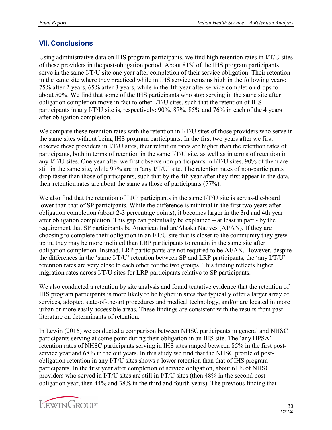#### <span id="page-33-0"></span>**VII. Conclusions**

Using administrative data on IHS program participants, we find high retention rates in I/T/U sites of these providers in the post-obligation period. About 81% of the IHS program participants serve in the same I/T/U site one year after completion of their service obligation. Their retention in the same site where they practiced while in IHS service remains high in the following years: 75% after 2 years, 65% after 3 years, while in the 4th year after service completion drops to about 50%. We find that some of the IHS participants who stop serving in the same site after obligation completion move in fact to other I/T/U sites, such that the retention of IHS participants in any I/T/U site is, respectively: 90%, 87%, 85% and 76% in each of the 4 years after obligation completion.

We compare these retention rates with the retention in I/T/U sites of those providers who serve in the same sites without being IHS program participants. In the first two years after we first observe these providers in I/T/U sites, their retention rates are higher than the retention rates of participants, both in terms of retention in the same I/T/U site, as well as in terms of retention in any I/T/U sites. One year after we first observe non-participants in I/T/U sites, 90% of them are still in the same site, while 97% are in 'any I/T/U' site. The retention rates of non-participants drop faster than those of participants, such that by the 4th year after they first appear in the data, their retention rates are about the same as those of participants (77%).

We also find that the retention of LRP participants in the same I/T/U site is across-the-board lower than that of SP participants. While the difference is minimal in the first two years after obligation completion (about 2-3 percentage points), it becomes larger in the 3rd and 4th year after obligation completion. This gap can potentially be explained – at least in part - by the requirement that SP participants be American Indian/Alaska Natives (AI/AN). If they are choosing to complete their obligation in an I/T/U site that is closer to the community they grew up in, they may be more inclined than LRP participants to remain in the same site after obligation completion. Instead, LRP participants are not required to be AI/AN. However, despite the differences in the 'same I/T/U' retention between SP and LRP participants, the 'any I/T/U' retention rates are very close to each other for the two groups. This finding reflects higher migration rates across I/T/U sites for LRP participants relative to SP participants.

We also conducted a retention by site analysis and found tentative evidence that the retention of IHS program participants is more likely to be higher in sites that typically offer a larger array of services, adopted state-of-the-art procedures and medical technology, and/or are located in more urban or more easily accessible areas. These findings are consistent with the results from past literature on determinants of retention.

In Lewin (2016) we conducted a comparison between NHSC participants in general and NHSC participants serving at some point during their obligation in an IHS site. The 'any HPSA' retention rates of NHSC participants serving in IHS sites ranged between 85% in the first postservice year and 68% in the out years. In this study we find that the NHSC profile of postobligation retention in any I/T/U sites shows a lower retention than that of IHS program participants. In the first year after completion of service obligation, about 61% of NHSC providers who served in I/T/U sites are still in I/T/U sites (then 48% in the second postobligation year, then 44% and 38% in the third and fourth years). The previous finding that

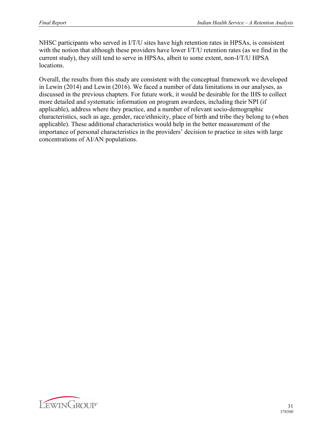NHSC participants who served in I/T/U sites have high retention rates in HPSAs, is consistent with the notion that although these providers have lower I/T/U retention rates (as we find in the current study), they still tend to serve in HPSAs, albeit to some extent, non-I/T/U HPSA locations.

Overall, the results from this study are consistent with the conceptual framework we developed in Lewin (2014) and Lewin (2016). We faced a number of data limitations in our analyses, as discussed in the previous chapters. For future work, it would be desirable for the IHS to collect more detailed and systematic information on program awardees, including their NPI (if applicable), address where they practice, and a number of relevant socio-demographic characteristics, such as age, gender, race/ethnicity, place of birth and tribe they belong to (when applicable). These additional characteristics would help in the better measurement of the importance of personal characteristics in the providers' decision to practice in sites with large concentrations of AI/AN populations.

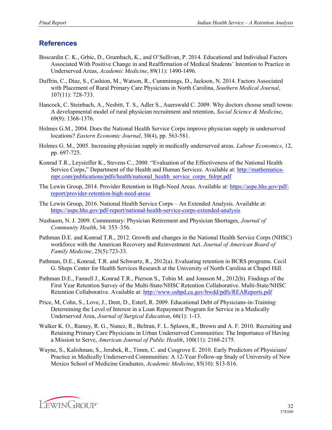#### <span id="page-35-0"></span>**References**

- Boscardin C. K., Grbic, D., Grumbach, K., and O'Sullivan, P. 2014. Educational and Individual Factors Associated With Positive Change in and Reaffirmation of Medical Students' Intention to Practice in Underserved Areas, *Academic Medicine*, 89(11): 1490-1496.
- Duffrin, C., Diaz, S., Cashion, M., Watson, R., Cumminngs, D., Jackson, N. 2014. Factors Associated with Placement of Rural Primary Care Physicians in North Carolina, *Southern Medical Journal*, 107(11): 728-733.
- Hancock, C. Steinbach, A., Nesbitt, T. S., Adler S., Auerswald C. 2009. Why doctors choose small towns: A developmental model of rural physician recruitment and retention, *Social Science & Medicine*, 69(9): 1368-1376.
- Holmes G.M., 2004. Does the National Health Service Corps improve physician supply in underserved locations? *Eastern Economic Journal*, 30(4), pp. 563-581.
- Holmes G. M., 2005. Increasing physician supply in medically underserved areas. *Labour Economics*, 12, pp. 697-725.
- Konrad T.R., Leysieffer K., Stevens C., 2000. "Evaluation of the Effectiveness of the National Health Service Corps," Department of the Health and Human Services. Available at: [http://mathematica](http://mathematica-mpr.com/publications/pdfs/health/national_health_service_corps_fnlrpt.pdf)[mpr.com/publications/pdfs/health/national\\_health\\_service\\_corps\\_fnlrpt.pdf](http://mathematica-mpr.com/publications/pdfs/health/national_health_service_corps_fnlrpt.pdf)
- The Lewin Group, 2014. Provider Retention in High-Need Areas. Available at: [https://aspe.hhs.gov/pdf](https://aspe.hhs.gov/pdf-report/provider-retention-high-need-areas)[report/provider-retention-high-need-areas](https://aspe.hhs.gov/pdf-report/provider-retention-high-need-areas)
- The Lewin Group, 2016. National Health Service Corps An Extended Analysis. Available at: [https://aspe.hhs.gov/pdf-report/national-health-service-corps-extended-analys](https://aspe.hhs.gov/pdf-report/national-health-service-corps-extended-analysis)is
- Nusbaum, N. J. 2009. Commentary: Physician Retirement and Physician Shortages, *Journal of Community Health*, 34: 353–356.
- Pathman D.E. and Konrad T.R., 2012. Growth and changes in the National Health Service Corps (NHSC) workforce with the American Recovery and Reinvestment Act. *Journal of American Board of Family Medicine*, 25(5):723-33.
- Pathman, D.E., Konrad, T.R. and Schwartz, R., 2012(a). Evaluating retention in BCRS programs. Cecil G. Sheps Center for Health Services Research at the University of North Carolina at Chapel Hill.
- Pathman D.E., Fannell J., Konrad T.R., Pierson S., Tobin M. and Jonsson M., 2012(b). Findings of the First Year Retention Survey of the Multi-State/NHSC Retention Collaborative. Multi-State/NHSC Retention Collaborative. Available at: [http://www.oshpd.ca.gov/hwdd/pdfs/REAReports.pd](http://www.oshpd.ca.gov/hwdd/pdfs/REAReports.pdf)f
- Price, M, Cohn, S., Love, J., Dent, D., Esterl, R. 2009. Educational Debt of Physicians-in-Training: Determining the Level of Interest in a Loan Repayment Program for Service in a Medically Underserved Area, *Journal of Surgical Education*, 66(1): 1-13.
- Walker K. O., Ramey, R. G., Nunez, R., Beltran, F. L. Splawn, R., Brown and A. F. 2010. Recruiting and Retaining Primary Care Physicians in Urban Underserved Communities: The Importance of Having a Mission to Serve, *American Journal of Public Health*, 100(11): 2168-2175.
- Wayne, S., Kalishman, S., Jerabek, R., Timm, C. and Cosgrove E. 2010. Early Predictors of Physicians' Practice in Medically Underserved Communities: A 12-Year Follow-up Study of University of New Mexico School of Medicine Graduates, *Academic Medicine*, 85(10): S13-S16.

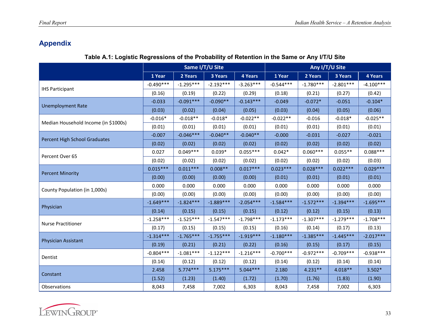## **Appendix**

#### **Table A.1: Logistic Regressions of the Probability of Retention in the Same or Any I/T/U Site**

<span id="page-36-0"></span>

|                                      | Same I/T/U Site |             |             |             | Any I/T/U Site |             |             |                |
|--------------------------------------|-----------------|-------------|-------------|-------------|----------------|-------------|-------------|----------------|
|                                      | 1 Year          | 2 Years     | 3 Years     | 4 Years     | 1 Year         | 2 Years     | 3 Years     | <b>4 Years</b> |
|                                      | $-0.490***$     | $-1.295***$ | $-2.192***$ | $-3.263***$ | $-0.544***$    | $-1.780***$ | $-2.801***$ | $-4.100***$    |
| <b>IHS Participant</b>               | (0.16)          | (0.19)      | (0.22)      | (0.29)      | (0.18)         | (0.21)      | (0.27)      | (0.42)         |
|                                      | $-0.033$        | $-0.091***$ | $-0.090**$  | $-0.143***$ | $-0.049$       | $-0.072*$   | $-0.051$    | $-0.104*$      |
| <b>Unemployment Rate</b>             | (0.03)          | (0.02)      | (0.04)      | (0.05)      | (0.03)         | (0.04)      | (0.05)      | (0.06)         |
| Median Household Income (in \$1000s) | $-0.016*$       | $-0.018**$  | $-0.018*$   | $-0.022**$  | $-0.022**$     | $-0.016$    | $-0.018*$   | $-0.025**$     |
|                                      | (0.01)          | (0.01)      | (0.01)      | (0.01)      | (0.01)         | (0.01)      | (0.01)      | (0.01)         |
| Percent High School Graduates        | $-0.007$        | $-0.046***$ | $-0.040**$  | $-0.040**$  | $-0.000$       | $-0.031$    | $-0.027$    | $-0.021$       |
|                                      | (0.02)          | (0.02)      | (0.02)      | (0.02)      | (0.02)         | (0.02)      | (0.02)      | (0.02)         |
| Percent Over 65                      | 0.027           | $0.049***$  | $0.039*$    | $0.055***$  | $0.042*$       | $0.060***$  | $0.055**$   | $0.088***$     |
|                                      | (0.02)          | (0.02)      | (0.02)      | (0.02)      | (0.02)         | (0.02)      | (0.02)      | (0.03)         |
|                                      | $0.015***$      | $0.011***$  | $0.008**$   | $0.017***$  | $0.023***$     | $0.028***$  | $0.022***$  | $0.029***$     |
| <b>Percent Minority</b>              | (0.00)          | (0.00)      | (0.00)      | (0.00)      | (0.01)         | (0.01)      | (0.01)      | (0.01)         |
|                                      | 0.000           | 0.000       | 0.000       | 0.000       | 0.000          | 0.000       | 0.000       | 0.000          |
| County Population (in 1,000s)        | (0.00)          | (0.00)      | (0.00)      | (0.00)      | (0.00)         | (0.00)      | (0.00)      | (0.00)         |
|                                      | $-1.649***$     | $-1.824***$ | $-1.889***$ | $-2.054***$ | $-1.584***$    | $-1.572***$ | $-1.394***$ | $-1.695***$    |
| Physician                            | (0.14)          | (0.15)      | (0.15)      | (0.15)      | (0.12)         | (0.12)      | (0.15)      | (0.13)         |
|                                      | $-1.258***$     | $-1.525***$ | $-1.547***$ | $-1.798***$ | $-1.173***$    | $-1.307***$ | $-1.279***$ | $-1.708***$    |
| <b>Nurse Practitioner</b>            | (0.17)          | (0.15)      | (0.15)      | (0.15)      | (0.16)         | (0.14)      | (0.17)      | (0.13)         |
|                                      | $-1.314***$     | $-1.765***$ | $-1.755***$ | $-1.919***$ | $-1.180***$    | $-1.385***$ | $-1.445***$ | $-2.017***$    |
| Physician Assistant                  | (0.19)          | (0.21)      | (0.21)      | (0.22)      | (0.16)         | (0.15)      | (0.17)      | (0.15)         |
| Dentist                              | $-0.804***$     | $-1.081***$ | $-1.122***$ | $-1.216***$ | $-0.700***$    | $-0.972***$ | $-0.709***$ | $-0.938***$    |
|                                      | (0.14)          | (0.12)      | (0.12)      | (0.12)      | (0.14)         | (0.12)      | (0.14)      | (0.14)         |
|                                      | 2.458           | $5.774***$  | $5.175***$  | $5.044***$  | 2.180          | $4.231**$   | $4.018**$   | $3.502*$       |
| Constant                             | (1.52)          | (1.23)      | (1.40)      | (1.72)      | (1.70)         | (1.76)      | (1.83)      | (1.90)         |
| Observations                         | 8,043           | 7,458       | 7,002       | 6,303       | 8,043          | 7,458       | 7,002       | 6,303          |